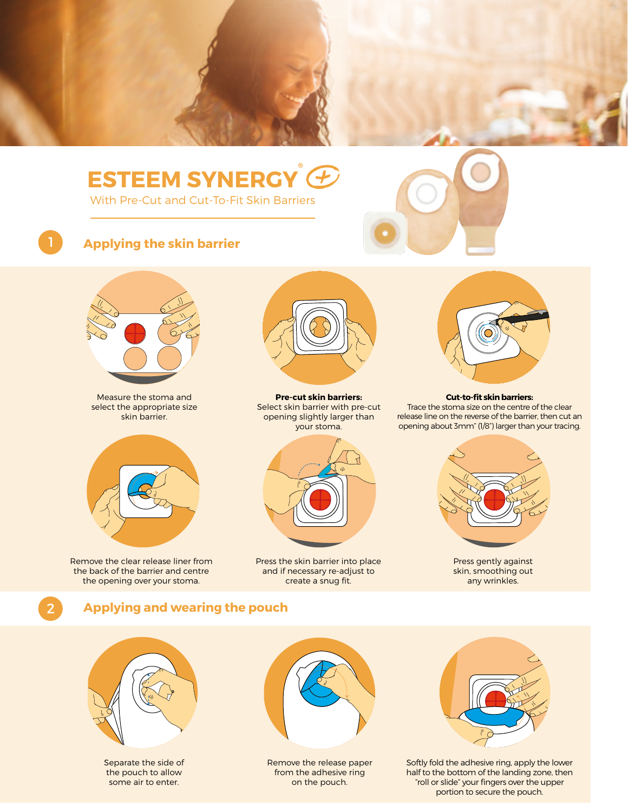

# **ESTEEM SYNERGY ®**

With Pre-Cut and Cut-To-Fit Skin Barriers



2

## 1 **Applying the skin barrier**



Measure the stoma and select the appropriate size skin barrier.



Remove the clear release liner from the back of the barrier and centre the opening over your stoma.



**Pre-cut skin barriers:** Select skin barrier with pre-cut opening slightly larger than your stoma.



Press the skin barrier into place and if necessary re-adjust to create a snug fit.



#### **Cut-to-fit skin barriers:**

Trace the stoma size on the centre of the clear release line on the reverse of the barrier, then cut an opening about 3mm" (1/8") larger than your tracing.



Press gently against skin, smoothing out any wrinkles.

#### **Applying and wearing the pouch**



Separate the side of the pouch to allow some air to enter.



Remove the release paper from the adhesive ring on the pouch.



Softly fold the adhesive ring, apply the lower half to the bottom of the landing zone, then "roll or slide" your fingers over the upper portion to secure the pouch.